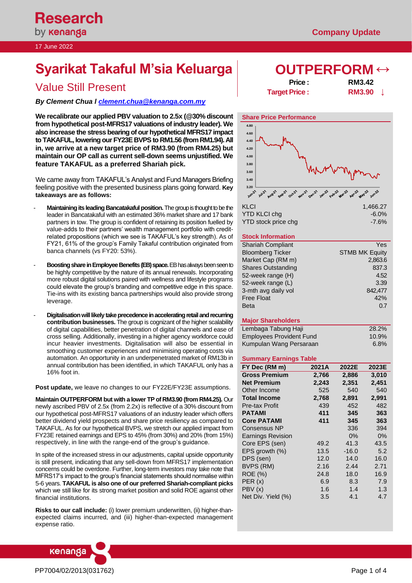# **Syarikat Takaful M'sia Keluarga | OUTPERFORM ↔**

*By Clement Chua [l clement.chua@kenanga.co](mailto:clement.chua@kenanga.com.my)m.my*

**We recalibrate our applied PBV valuation to 2.5x (@30% discount from hypothetical post-MFRS17 valuations of industry leader). We also increase the stress bearing of our hypothetical MFRS17 impact to TAKAFUL, lowering our FY23E BVPS to RM1.56 (from RM1.94).All in, we arrive at a new target price of RM3.90 (from RM4.25) but maintain our OP call as current sell-down seems unjustified. We feature TAKAFUL as a preferred Shariah pick.**

We came away from TAKAFUL's Analyst and Fund Managers Briefing feeling positive with the presented business plans going forward. **Key takeaways are as follows:**

- Maintaining its leading Bancatakaful position. The group is thought to be the leader in Bancatakaful with an estimated 36% market share and 17 bank partners in tow. The group is confident of retaining its position fuelled by value-adds to their partners' wealth management portfolio with creditrelated propositions (which we see is TAKAFUL's key strength). As of FY21, 61% of the group's Family Takaful contribution originated from banca channels (vs FY20: 53%).
- **Boosting share in Employee Benefits (EB) space.** EB has always been seen to be highly competitive by the nature of its annual renewals. Incorporating more robust digital solutions paired with wellness and lifestyle programs could elevate the group's branding and competitive edge in this space. Tie-ins with its existing banca partnerships would also provide strong leverage.
- **Digitalisation will likely take precedence in accelerating retail and recurring contribution businesses.** The group is cognizant of the higher scalability of digital capabilities, better penetration of digital channels and ease of cross selling. Additionally, investing in a higher agency workforce could incur heavier investments. Digitalisation will also be essential in smoothing customer experiences and minimising operating costs via automation. An opportunity in an underpenetrated market of RM13b in annual contribution has been identified, in which TAKAFUL only has a 16% foot in.

**Post update,** we leave no changes to our FY22E/FY23E assumptions.

**Maintain OUTPERFORM but with a lower TP of RM3.90 (from RM4.25).** Our newly ascribed PBV of 2.5x (from 2.2x) is reflective of a 30% discount from our hypothetical post-MFRS17 valuations of an industry leader which offers better dividend yield prospects and share price resiliency as compared to TAKAFUL. As for our hypothetical BVPS, we stretch our applied impact from FY23E retained earnings and EPS to 45% (from 30%) and 20% (from 15%) respectively, in line with the range-end of the group's guidance.

In spite of the increased stress in our adjustments, capital upside opportunity is still present, indicating that any sell-down from MFRS17 implementation concerns could be overdone. Further, long-term investors may take note that MFRS17's impact to the group's financial statements should normalise within 5-6 years. **TAKAFUL is also one of our preferred Shariah-compliant picks** which we still like for its strong market position and solid ROE against other financial institutions.

**Risks to our call include:** (i) lower premium underwritten, (ii) higher-thanexpected claims incurred, and (iii) higher-than-expected management expense ratio.



Value Still Present **Price : Price : RM3.42**<br>
Price : **RM3.90 Target Price :** 



| <b>INLYI</b>        | 1. <del>4</del> 00.4 |
|---------------------|----------------------|
| YTD KLCI chq        | $-6.0\%$             |
| YTD stock price chg | -7.6%                |

# **Stock Information**

| <b>Shariah Compliant</b>  | Yes                   |
|---------------------------|-----------------------|
| <b>Bloomberg Ticker</b>   | <b>STMB MK Equity</b> |
| Market Cap (RM m)         | 2,863.6               |
| <b>Shares Outstanding</b> | 837.3                 |
| 52-week range (H)         | 4.52                  |
| 52-week range (L)         | 3.39                  |
| 3-mth avg daily vol       | 842,477               |
| <b>Free Float</b>         | 42%                   |
| <b>Beta</b>               | 0.7                   |
|                           |                       |

# **Major Shareholders**

| Lembaga Tabung Haji             | 28.2%   |
|---------------------------------|---------|
| <b>Employees Provident Fund</b> | 10.9%   |
| Kumpulan Wang Persaraan         | $6.8\%$ |

# **Summary Earnings Table**

| FY Dec (RM m)            | 2021A | 2022E   | 2023E |
|--------------------------|-------|---------|-------|
| <b>Gross Premium</b>     | 2,766 | 2,886   | 3,010 |
| <b>Net Premium</b>       | 2,243 | 2,351   | 2,451 |
| Other Income             | 525   | 540     | 540   |
| <b>Total Income</b>      | 2,768 | 2,891   | 2,991 |
| <b>Pre-tax Profit</b>    | 439   | 452     | 482   |
| <b>PATAMI</b>            | 411   | 345     | 363   |
| <b>Core PATAMI</b>       | 411   | 345     | 363   |
| <b>Consensus NP</b>      |       | 336     | 394   |
| <b>Earnings Revision</b> |       | $0\%$   | 0%    |
| Core EPS (sen)           | 49.2  | 41.3    | 43.5  |
| EPS growth (%)           | 13.5  | $-16.0$ | 5.2   |
| DPS (sen)                | 12.0  | 14.0    | 16.0  |
| BVPS (RM)                | 2.16  | 2.44    | 2.71  |
| <b>ROE (%)</b>           | 24.8  | 18.0    | 16.9  |
| PER(x)                   | 6.9   | 8.3     | 7.9   |
| PBV(x)                   | 1.6   | 1.4     | 1.3   |
| Net Div. Yield (%)       | 3.5   | 4.1     | 4.7   |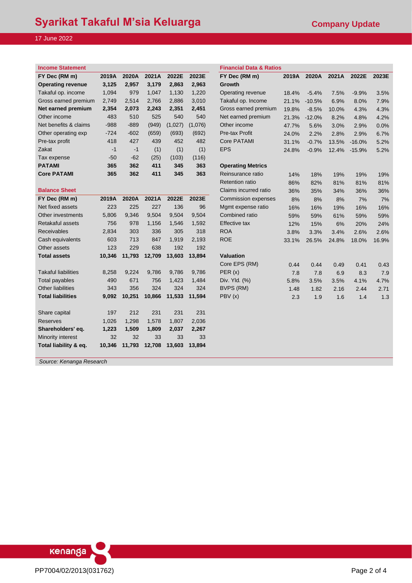# **Income Statement Financial Data & Ratios**

| FY Dec (RM m)            | 2019A  | 2020A  | 2021A | 2022E   | 2023E   | FY Dec (RM m)            | 2019A | 2020A    | 2021A | 2022E     | 2023E |
|--------------------------|--------|--------|-------|---------|---------|--------------------------|-------|----------|-------|-----------|-------|
| <b>Operating revenue</b> | 3,125  | 2.957  | 3,179 | 2.863   | 2.963   | <b>Growth</b>            |       |          |       |           |       |
| Takaful op. income       | 1,094  | 979    | 1,047 | 1.130   | 1,220   | Operating revenue        | 18.4% | $-5.4%$  | 7.5%  | $-9.9%$   | 3.5%  |
| Gross earned premium     | 2.749  | 2.514  | 2,766 | 2.886   | 3.010   | Takaful op. Income       | 21.1% | $-10.5%$ | 6.9%  | 8.0%      | 7.9%  |
| Net earned premium       | 2.354  | 2.073  | 2.243 | 2.351   | 2.451   | Gross earned premium     | 19.8% | $-8.5%$  | 10.0% | 4.3%      | 4.3%  |
| Other income             | 483    | 510    | 525   | 540     | 540     | Net earned premium       | 21.3% | $-12.0%$ | 8.2%  | 4.8%      | 4.2%  |
| Net benefits & claims    | $-988$ | $-889$ | (949) | (1,027) | (1,076) | Other income             | 47.7% | 5.6%     | 3.0%  | 2.9%      | 0.0%  |
| Other operating exp      | $-724$ | $-602$ | (659) | (693)   | (692)   | Pre-tax Profit           | 24.0% | 2.2%     | 2.8%  | 2.9%      | 6.7%  |
| Pre-tax profit           | 418    | 427    | 439   | 452     | 482     | Core PATAMI              | 31.1% | $-0.7%$  | 13.5% | $-16.0\%$ | 5.2%  |
| Zakat                    | $-1$   | $-1$   | (1)   | (1)     | (1)     | <b>EPS</b>               | 24.8% | $-0.9%$  | 12.4% | $-15.9%$  | 5.2%  |
| Tax expense              | $-50$  | $-62$  | (25)  | (103)   | (116)   |                          |       |          |       |           |       |
| <b>PATAMI</b>            | 365    | 362    | 411   | 345     | 363     | <b>Operating Metrics</b> |       |          |       |           |       |
| <b>Core PATAMI</b>       | 365    | 362    | 411   | 345     | 363     | Reinsurance ratio        | 14%   | 18%      | 19%   | 19%       | 19%   |

|  |  | <b>Balance Sheet</b> |
|--|--|----------------------|
|  |  |                      |

| FY Dec (RM m)              | 2019A  | 2020A  | 2021A  | 2022E  | 2023E  | <b>Commission expenses</b> | 8%    | 8%    | 8%    | 7%    | 7%    |
|----------------------------|--------|--------|--------|--------|--------|----------------------------|-------|-------|-------|-------|-------|
| Net fixed assets           | 223    | 225    | 227    | 136    | 96     | Mgmt expense ratio         | 16%   | 16%   | 19%   | 16%   | 16%   |
| Other investments          | 5,806  | 9,346  | 9,504  | 9,504  | 9,504  | Combined ratio             | 59%   | 59%   | 61%   | 59%   | 59%   |
| Retakaful assets           | 756    | 978    | 1,156  | 1,546  | 1,592  | Effective tax              | 12%   | 15%   | 6%    | 20%   | 24%   |
| <b>Receivables</b>         | 2,834  | 303    | 336    | 305    | 318    | <b>ROA</b>                 | 3.8%  | 3.3%  | 3.4%  | 2.6%  | 2.6%  |
| Cash equivalents           | 603    | 713    | 847    | 1.919  | 2,193  | <b>ROE</b>                 | 33.1% | 26.5% | 24.8% | 18.0% | 16.9% |
| Other assets               | 123    | 229    | 638    | 192    | 192    |                            |       |       |       |       |       |
| <b>Total assets</b>        | 10,346 | 11,793 | 12,709 | 13,603 | 13,894 | <b>Valuation</b>           |       |       |       |       |       |
|                            |        |        |        |        |        | Core EPS (RM)              | 0.44  | 0.44  | 0.49  | 0.41  | 0.43  |
| <b>Takaful liabilities</b> | 8,258  | 9,224  | 9,786  | 9,786  | 9,786  | PER(x)                     | 7.8   | 7.8   | 6.9   | 8.3   | 7.9   |
| Total payables             | 490    | 671    | 756    | 1,423  | 1,484  | Div. Yld. (%)              | 5.8%  | 3.5%  | 3.5%  | 4.1%  | 4.7%  |
| <b>Other liabilities</b>   | 343    | 356    | 324    | 324    | 324    | BVPS (RM)                  | 1.48  | 1.82  | 2.16  | 2.44  | 2.71  |
| <b>Total liabilities</b>   | 9,092  | 10,251 | 10,866 | 11,533 | 11,594 | PBV(x)                     | 2.3   | 1.9   | 1.6   | 1.4   | 1.3   |
| Share capital              | 197    | 212    | 231    | 231    | 231    |                            |       |       |       |       |       |
| <b>Reserves</b>            | 1,026  | 1,298  | 1,578  | 1,807  | 2,036  |                            |       |       |       |       |       |
| Shareholders' eq.          | 1,223  | 1,509  | 1,809  | 2,037  | 2,267  |                            |       |       |       |       |       |
| Minority interest          | 32     | 32     | 33     | 33     | 33     |                            |       |       |       |       |       |
| Total liability & eq.      | 10,346 | 11,793 | 12,708 | 13,603 | 13,894 |                            |       |       |       |       |       |

| mcome Statement            |        |        |        |         |         | Financial Data & Ratios    |       |          |       |          |       |
|----------------------------|--------|--------|--------|---------|---------|----------------------------|-------|----------|-------|----------|-------|
| FY Dec (RM m)              | 2019A  | 2020A  | 2021A  | 2022E   | 2023E   | FY Dec (RM m)              | 2019A | 2020A    | 2021A | 2022E    | 2023E |
| <b>Operating revenue</b>   | 3,125  | 2,957  | 3,179  | 2,863   | 2,963   | Growth                     |       |          |       |          |       |
| Takaful op. income         | 1,094  | 979    | 1,047  | 1,130   | 1,220   | Operating revenue          | 18.4% | $-5.4%$  | 7.5%  | $-9.9%$  | 3.5%  |
| Gross earned premium       | 2,749  | 2,514  | 2,766  | 2,886   | 3,010   | Takaful op. Income         | 21.1% | $-10.5%$ | 6.9%  | 8.0%     | 7.9%  |
| Net earned premium         | 2,354  | 2,073  | 2,243  | 2,351   | 2,451   | Gross earned premium       | 19.8% | $-8.5%$  | 10.0% | 4.3%     | 4.3%  |
| Other income               | 483    | 510    | 525    | 540     | 540     | Net earned premium         | 21.3% | $-12.0%$ | 8.2%  | 4.8%     | 4.2%  |
| Net benefits & claims      | $-988$ | $-889$ | (949)  | (1,027) | (1,076) | Other income               | 47.7% | 5.6%     | 3.0%  | 2.9%     | 0.0%  |
| Other operating exp        | $-724$ | $-602$ | (659)  | (693)   | (692)   | Pre-tax Profit             | 24.0% | 2.2%     | 2.8%  | 2.9%     | 6.7%  |
| Pre-tax profit             | 418    | 427    | 439    | 452     | 482     | <b>Core PATAMI</b>         | 31.1% | $-0.7%$  | 13.5% | $-16.0%$ | 5.2%  |
| Zakat                      | $-1$   | $-1$   | (1)    | (1)     | (1)     | <b>EPS</b>                 | 24.8% | $-0.9%$  | 12.4% | $-15.9%$ | 5.2%  |
| Tax expense                | $-50$  | $-62$  | (25)   | (103)   | (116)   |                            |       |          |       |          |       |
| <b>PATAMI</b>              | 365    | 362    | 411    | 345     | 363     | <b>Operating Metrics</b>   |       |          |       |          |       |
| <b>Core PATAMI</b>         | 365    | 362    | 411    | 345     | 363     | Reinsurance ratio          | 14%   | 18%      | 19%   | 19%      | 19%   |
|                            |        |        |        |         |         | <b>Retention ratio</b>     | 86%   | 82%      | 81%   | 81%      | 81%   |
| <b>Balance Sheet</b>       |        |        |        |         |         | Claims incurred ratio      | 36%   | 35%      | 34%   | 36%      | 36%   |
| FY Dec (RM m)              | 2019A  | 2020A  | 2021A  | 2022E   | 2023E   | <b>Commission expenses</b> | 8%    | 8%       | 8%    | 7%       | 7%    |
| Net fixed assets           | 223    | 225    | 227    | 136     | 96      | Mgmt expense ratio         | 16%   | 16%      | 19%   | 16%      | 16%   |
| Other investments          | 5,806  | 9,346  | 9,504  | 9,504   | 9,504   | Combined ratio             | 59%   | 59%      | 61%   | 59%      | 59%   |
| Retakaful assets           | 756    | 978    | 1,156  | 1,546   | 1,592   | <b>Effective tax</b>       | 12%   | 15%      | 6%    | 20%      | 24%   |
| <b>Receivables</b>         | 2,834  | 303    | 336    | 305     | 318     | <b>ROA</b>                 | 3.8%  | 3.3%     | 3.4%  | 2.6%     | 2.6%  |
| Cash equivalents           | 603    | 713    | 847    | 1,919   | 2,193   | <b>ROE</b>                 | 33.1% | 26.5%    | 24.8% | 18.0%    | 16.9% |
| Other assets               | 123    | 229    | 638    | 192     | 192     |                            |       |          |       |          |       |
| <b>Total assets</b>        | 10,346 | 11,793 | 12,709 | 13,603  | 13,894  | <b>Valuation</b>           |       |          |       |          |       |
|                            |        |        |        |         |         | Core EPS (RM)              | 0.44  | 0.44     | 0.49  | 0.41     | 0.43  |
| <b>Takaful liabilities</b> | 8,258  | 9,224  | 9,786  | 9,786   | 9,786   | PER(x)                     | 7.8   | 7.8      | 6.9   | 8.3      | 7.9   |
| Total payables             | 490    | 671    | 756    | 1,423   | 1,484   | Div. Yld. (%)              | 5.8%  | 3.5%     | 3.5%  | 4.1%     | 4.7%  |
| <b>Other liabilities</b>   | 343    | 356    | 324    | 324     | 324     | <b>BVPS (RM)</b>           | 1.48  | 1.82     | 2.16  | 2.44     | 2.71  |
| <b>Total liabilities</b>   | 9,092  | 10,251 | 10,866 | 11,533  | 11.594  | PBV(x)                     | 2.3   | 1.9      | 1.6   | 1.4      | 1.3   |
| Share capital              | 197    | 212    | 231    | 231     | 231     |                            |       |          |       |          |       |
| <b>Reserves</b>            | 1,026  | 1,298  | 1,578  | 1,807   | 2,036   |                            |       |          |       |          |       |
|                            |        |        |        |         |         |                            |       |          |       |          |       |

*Source: Kenanga Research*

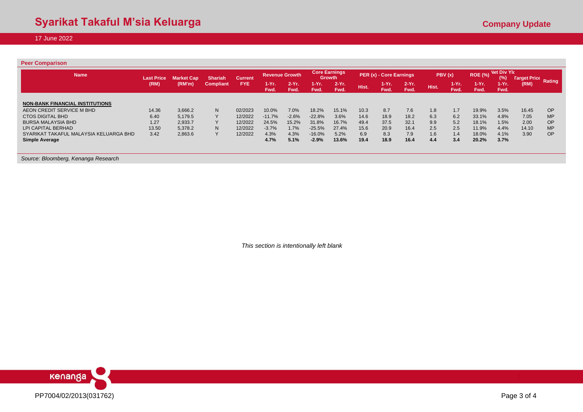| <b>Name</b>                            | <b>Last Price</b> | <b>Market Cap</b> | <b>Shariah</b>   | <b>Current</b> | <b>Revenue Growth</b> |                  |                 | <b>Core Earnings</b><br>Growth |       | PER (x) - Core Earnings |                 |       | PBV(x)          | <b>ROE (%)</b>  | <b>Net Div Ylc</b><br>(%) |                                    |           |
|----------------------------------------|-------------------|-------------------|------------------|----------------|-----------------------|------------------|-----------------|--------------------------------|-------|-------------------------|-----------------|-------|-----------------|-----------------|---------------------------|------------------------------------|-----------|
|                                        | (RM)              | (RM'm)            | <b>Compliant</b> | <b>FYE</b>     | 1-Yr.<br>Fwd.         | $2-Yr$ .<br>Fwd. | $1-Yr.$<br>Fwd. | $2-Yr.$<br>Fwd.                | Hist. | 1-Yr.<br>Fwd.           | $2-Yr.$<br>Fwd. | Hist. | 1-Yr. .<br>Fwd. | $1-Yr.$<br>Fwd. | $1-Yr.$<br>Fwd.           | <b>Target Price Rating</b><br>(RM) |           |
| <b>NON-BANK FINANCIAL INSTITUTIONS</b> |                   |                   |                  |                |                       |                  |                 |                                |       |                         |                 |       |                 |                 |                           |                                    |           |
| AEON CREDIT SERVICE M BHD              | 14.36             | 3,666.2           | N                | 02/2023        | 10.0%                 | 7.0%             | 18.2%           | 15.1%                          | 10.3  | 8.7                     | 7.6             | 1.8   | 1.7             | 19.9%           | 3.5%                      | 16.45                              | OP        |
| <b>CTOS DIGITAL BHD</b>                | 6.40              | 5.179.5           |                  | 12/2022        | $-11.7%$              | $-2.6%$          | $-22.8%$        | 3.6%                           | 14.6  | 18.9                    | 18.2            | 6.3   | 6.2             | 33.1%           | 4.8%                      | 7.05                               | <b>MP</b> |
| <b>BURSA MALAYSIA BHD</b>              | 1.27              | 2,933.7           |                  | 12/2022        | 24.5%                 | 15.2%            | 31.8%           | 16.7%                          | 49.4  | 37.5                    | 32.1            | 9.9   | 5.2             | 18.1%           | 1.5%                      | 2.00                               | <b>OP</b> |
| LPI CAPITAL BERHAD                     | 13.50             | 5.378.2           | N                | 12/2022        | $-3.7%$               | 1.7%             | $-25.5%$        | 27.4%                          | 15.6  | 20.9                    | 16.4            | 2.5   | 2.5             | 11.9%           | 4.4%                      | 14.10                              | <b>MP</b> |
| SYARIKAT TAKAFUL MALAYSIA KELUARGA BHD | 3.42              | 2,863.6           |                  | 12/2022        | 4.3%                  | 4.3%             | $-16.0%$        | 5.2%                           | 6.9   | 8.3                     | 7.9             | 1.6   | 1.4             | 18.0%           | 4.1%                      | 3.90                               | OP        |
| <b>Simple Average</b>                  |                   |                   |                  |                | 4.7%                  | 5.1%             | $-2.9%$         | 13.6%                          | 19.4  | 18.9                    | 16.4            | 4.4   | 3.4             | 20.2%           | 3.7%                      |                                    |           |

*Source: Bloomberg, Kenanga Research*

*This section is intentionally left blank*